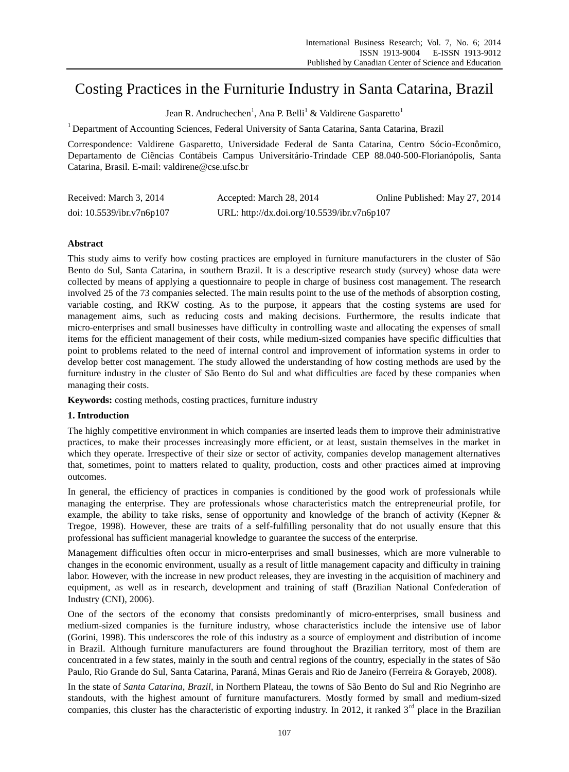# Costing Practices in the Furniturie Industry in Santa Catarina, Brazil

Jean R. Andruchechen<sup>1</sup>, Ana P. Belli<sup>1</sup> & Valdirene Gasparetto<sup>1</sup>

<sup>1</sup> Department of Accounting Sciences, Federal University of Santa Catarina, Santa Catarina, Brazil

Correspondence: Valdirene Gasparetto, Universidade Federal de Santa Catarina, Centro Sócio-Econômico, Departamento de Ciências Contábeis Campus Universitário-Trindade CEP 88.040-500-Florianópolis, Santa Catarina, Brasil. E-mail: valdirene@cse.ufsc.br

| Received: March 3, 2014      | Accepted: March 28, 2014                    | Online Published: May 27, 2014 |
|------------------------------|---------------------------------------------|--------------------------------|
| doi: $10.5539$ /ibr.v7n6p107 | URL: http://dx.doi.org/10.5539/ibr.v7n6p107 |                                |

# **Abstract**

This study aims to verify how costing practices are employed in furniture manufacturers in the cluster of São Bento do Sul, Santa Catarina, in southern Brazil. It is a descriptive research study (survey) whose data were collected by means of applying a questionnaire to people in charge of business cost management. The research involved 25 of the 73 companies selected. The main results point to the use of the methods of absorption costing, variable costing, and RKW costing. As to the purpose, it appears that the costing systems are used for management aims, such as reducing costs and making decisions. Furthermore, the results indicate that micro-enterprises and small businesses have difficulty in controlling waste and allocating the expenses of small items for the efficient management of their costs, while medium-sized companies have specific difficulties that point to problems related to the need of internal control and improvement of information systems in order to develop better cost management. The study allowed the understanding of how costing methods are used by the furniture industry in the cluster of São Bento do Sul and what difficulties are faced by these companies when managing their costs.

**Keywords:** costing methods, costing practices, furniture industry

# **1. Introduction**

The highly competitive environment in which companies are inserted leads them to improve their administrative practices, to make their processes increasingly more efficient, or at least, sustain themselves in the market in which they operate. Irrespective of their size or sector of activity, companies develop management alternatives that, sometimes, point to matters related to quality, production, costs and other practices aimed at improving outcomes.

In general, the efficiency of practices in companies is conditioned by the good work of professionals while managing the enterprise. They are professionals whose characteristics match the entrepreneurial profile, for example, the ability to take risks, sense of opportunity and knowledge of the branch of activity (Kepner & Tregoe, 1998). However, these are traits of a self-fulfilling personality that do not usually ensure that this professional has sufficient managerial knowledge to guarantee the success of the enterprise.

Management difficulties often occur in micro-enterprises and small businesses, which are more vulnerable to changes in the economic environment, usually as a result of little management capacity and difficulty in training labor. However, with the increase in new product releases, they are investing in the acquisition of machinery and equipment, as well as in research, development and training of staff (Brazilian National Confederation of Industry (CNI), 2006).

One of the sectors of the economy that consists predominantly of micro-enterprises, small business and medium-sized companies is the furniture industry, whose characteristics include the intensive use of labor (Gorini, 1998). This underscores the role of this industry as a source of employment and distribution of income in Brazil. Although furniture manufacturers are found throughout the Brazilian territory, most of them are concentrated in a few states, mainly in the south and central regions of the country, especially in the states of São Paulo, Rio Grande do Sul, Santa Catarina, Paraná, Minas Gerais and Rio de Janeiro (Ferreira & Gorayeb, 2008).

In the state of *Santa Catarina, Brazil*, in Northern Plateau, the towns of São Bento do Sul and Rio Negrinho are standouts, with the highest amount of furniture manufacturers. Mostly formed by small and medium-sized companies, this cluster has the characteristic of exporting industry. In 2012, it ranked 3<sup>rd</sup> place in the Brazilian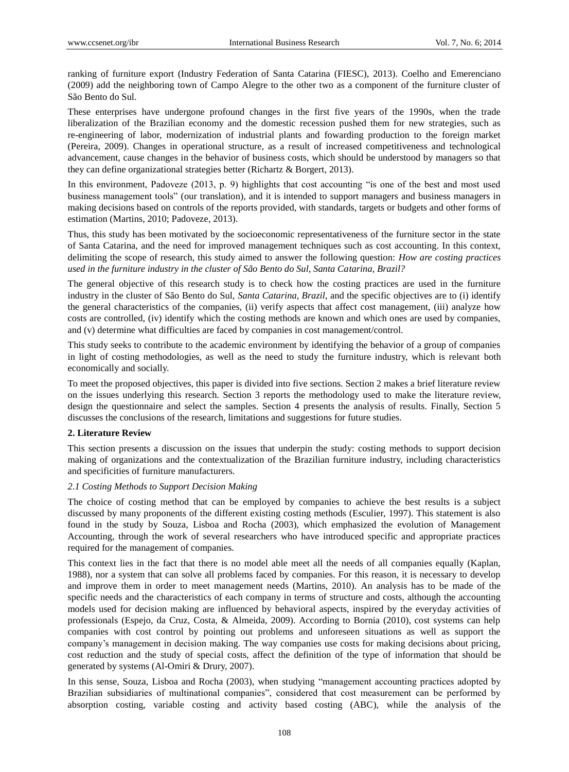ranking of furniture export (Industry Federation of Santa Catarina (FIESC), 2013). Coelho and Emerenciano (2009) add the neighboring town of Campo Alegre to the other two as a component of the furniture cluster of São Bento do Sul.

These enterprises have undergone profound changes in the first five years of the 1990s, when the trade liberalization of the Brazilian economy and the domestic recession pushed them for new strategies, such as re-engineering of labor, modernization of industrial plants and fowarding production to the foreign market (Pereira, 2009). Changes in operational structure, as a result of increased competitiveness and technological advancement, cause changes in the behavior of business costs, which should be understood by managers so that they can define organizational strategies better (Richartz & Borgert, 2013).

In this environment, Padoveze  $(2013, p. 9)$  highlights that cost accounting "is one of the best and most used business management tools" (our translation), and it is intended to support managers and business managers in making decisions based on controls of the reports provided, with standards, targets or budgets and other forms of estimation (Martins, 2010; Padoveze, 2013).

Thus, this study has been motivated by the socioeconomic representativeness of the furniture sector in the state of Santa Catarina, and the need for improved management techniques such as cost accounting. In this context, delimiting the scope of research, this study aimed to answer the following question: *How are costing practices used in the furniture industry in the cluster of São Bento do Sul, Santa Catarina, Brazil?*

The general objective of this research study is to check how the costing practices are used in the furniture industry in the cluster of São Bento do Sul, *Santa Catarina, Brazil*, and the specific objectives are to (i) identify the general characteristics of the companies, (ii) verify aspects that affect cost management, (iii) analyze how costs are controlled, (iv) identify which the costing methods are known and which ones are used by companies, and (v) determine what difficulties are faced by companies in cost management/control.

This study seeks to contribute to the academic environment by identifying the behavior of a group of companies in light of costing methodologies, as well as the need to study the furniture industry, which is relevant both economically and socially.

To meet the proposed objectives, this paper is divided into five sections. Section 2 makes a brief literature review on the issues underlying this research. Section 3 reports the methodology used to make the literature review, design the questionnaire and select the samples. Section 4 presents the analysis of results. Finally, Section 5 discusses the conclusions of the research, limitations and suggestions for future studies.

# **2. Literature Review**

This section presents a discussion on the issues that underpin the study: costing methods to support decision making of organizations and the contextualization of the Brazilian furniture industry, including characteristics and specificities of furniture manufacturers.

# *2.1 Costing Methods to Support Decision Making*

The choice of costing method that can be employed by companies to achieve the best results is a subject discussed by many proponents of the different existing costing methods (Esculier, 1997). This statement is also found in the study by Souza, Lisboa and Rocha (2003), which emphasized the evolution of Management Accounting, through the work of several researchers who have introduced specific and appropriate practices required for the management of companies.

This context lies in the fact that there is no model able meet all the needs of all companies equally (Kaplan, 1988), nor a system that can solve all problems faced by companies. For this reason, it is necessary to develop and improve them in order to meet management needs (Martins, 2010). An analysis has to be made of the specific needs and the characteristics of each company in terms of structure and costs, although the accounting models used for decision making are influenced by behavioral aspects, inspired by the everyday activities of professionals (Espejo, da Cruz, Costa, & Almeida, 2009). According to Bornia (2010), cost systems can help companies with cost control by pointing out problems and unforeseen situations as well as support the company's management in decision making. The way companies use costs for making decisions about pricing, cost reduction and the study of special costs, affect the definition of the type of information that should be generated by systems (Al-Omiri & Drury, 2007).

In this sense, Souza, Lisboa and Rocha (2003), when studying "management accounting practices adopted by Brazilian subsidiaries of multinational companies", considered that cost measurement can be performed by absorption costing, variable costing and activity based costing (ABC), while the analysis of the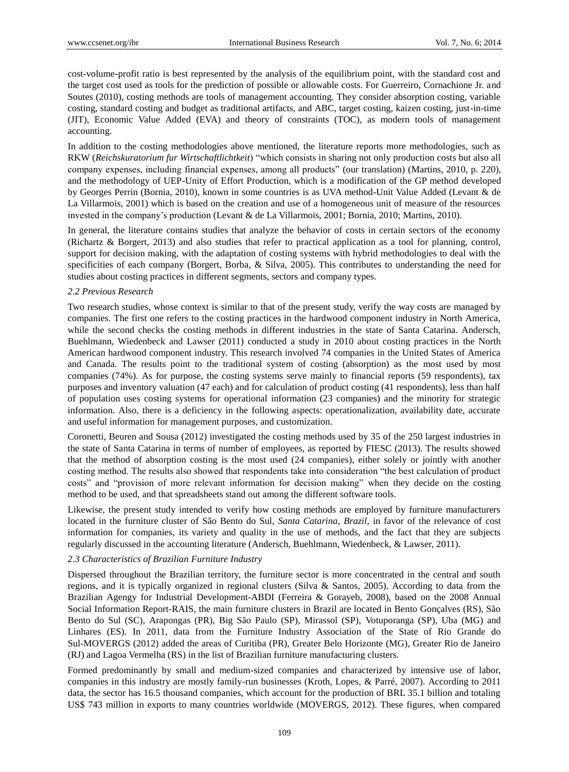cost-volume-profit ratio is best represented by the analysis of the equilibrium point, with the standard cost and the target cost used as tools for the prediction of possible or allowable costs. For Guerreiro, Cornachione Jr. and Soutes (2010), costing methods are tools of management accounting. They consider absorption costing, variable costing, standard costing and budget as traditional artifacts, and ABC, target costing, kaizen costing, just-in-time (JIT), Economic Value Added (EVA) and theory of constraints (TOC), as modern tools of management accounting.

In addition to the costing methodologies above mentioned, the literature reports more methodologies, such as RKW (*Reichskuratorium fur Wirtschaftlichtkeit*) "which consists in sharing not only production costs but also all company expenses, including financial expenses, among all products" (our translation) (Martins, 2010, p. 220), and the methodology of UEP-Unity of Effort Production, which is a modification of the GP method developed by Georges Perrin (Bornia, 2010), known in some countries is as UVA method-Unit Value Added (Levant & de La Villarmois, 2001) which is based on the creation and use of a homogeneous unit of measure of the resources invested in the company's production (Levant & de La Villarmois, 2001; Bornia, 2010; Martins, 2010).

In general, the literature contains studies that analyze the behavior of costs in certain sectors of the economy (Richartz & Borgert, 2013) and also studies that refer to practical application as a tool for planning, control, support for decision making, with the adaptation of costing systems with hybrid methodologies to deal with the specificities of each company (Borgert, Borba, & Silva, 2005). This contributes to understanding the need for studies about costing practices in different segments, sectors and company types.

## *2.2 Previous Research*

Two research studies, whose context is similar to that of the present study, verify the way costs are managed by companies. The first one refers to the costing practices in the hardwood component industry in North America, while the second checks the costing methods in different industries in the state of Santa Catarina. Andersch, Buehlmann, Wiedenbeck and Lawser (2011) conducted a study in 2010 about costing practices in the North American hardwood component industry. This research involved 74 companies in the United States of America and Canada. The results point to the traditional system of costing (absorption) as the most used by most companies (74%). As for purpose, the costing systems serve mainly to financial reports (59 respondents), tax purposes and inventory valuation (47 each) and for calculation of product costing (41 respondents), less than half of population uses costing systems for operational information (23 companies) and the minority for strategic information. Also, there is a deficiency in the following aspects: operationalization, availability date, accurate and useful information for management purposes, and customization.

Coronetti, Beuren and Sousa (2012) investigated the costing methods used by 35 of the 250 largest industries in the state of Santa Catarina in terms of number of employees, as reported by FIESC (2013). The results showed that the method of absorption costing is the most used (24 companies), either solely or jointly with another costing method. The results also showed that respondents take into consideration "the best calculation of product costs" and "provision of more relevant information for decision making" when they decide on the costing method to be used, and that spreadsheets stand out among the different software tools.

Likewise, the present study intended to verify how costing methods are employed by furniture manufacturers located in the furniture cluster of São Bento do Sul, *Santa Catarina, Brazil*, in favor of the relevance of cost information for companies, its variety and quality in the use of methods, and the fact that they are subjects regularly discussed in the accounting literature (Andersch, Buehlmann, Wiedenbeck, & Lawser, 2011).

# *2.3 Characteristics of Brazilian Furniture Industry*

Dispersed throughout the Brazilian territory, the furniture sector is more concentrated in the central and south regions, and it is typically organized in regional clusters (Silva & Santos, 2005). According to data from the Brazilian Agengy for Industrial Development-ABDI (Ferreira & Gorayeb, 2008), based on the 2008 Annual Social Information Report-RAIS, the main furniture clusters in Brazil are located in Bento Gonçalves (RS), São Bento do Sul (SC), Arapongas (PR), Big São Paulo (SP), Mirassol (SP), Votuporanga (SP), Uba (MG) and Linhares (ES). In 2011, data from the Furniture Industry Association of the State of Rio Grande do Sul-MOVERGS (2012) added the areas of Curitiba (PR), Greater Belo Horizonte (MG), Greater Rio de Janeiro (RJ) and Lagoa Vermelha (RS) in the list of Brazilian furniture manufacturing clusters.

Formed predominantly by small and medium-sized companies and characterized by intensive use of labor, companies in this industry are mostly family-run businesses (Kroth, Lopes, & Parré, 2007). According to 2011 data, the sector has 16.5 thousand companies, which account for the production of BRL 35.1 billion and totaling US\$ 743 million in exports to many countries worldwide (MOVERGS, 2012). These figures, when compared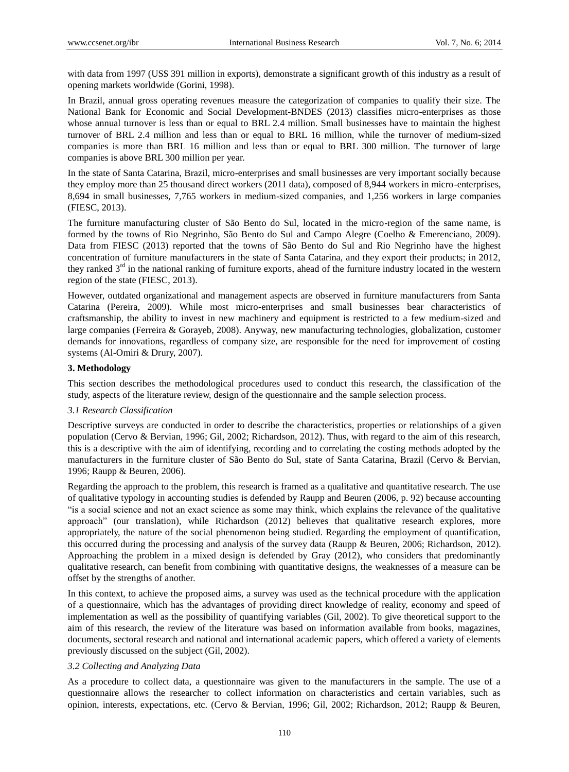with data from 1997 (US\$ 391 million in exports), demonstrate a significant growth of this industry as a result of opening markets worldwide (Gorini, 1998).

In Brazil, annual gross operating revenues measure the categorization of companies to qualify their size. The National Bank for Economic and Social Development-BNDES (2013) classifies micro-enterprises as those whose annual turnover is less than or equal to BRL 2.4 million. Small businesses have to maintain the highest turnover of BRL 2.4 million and less than or equal to BRL 16 million, while the turnover of medium-sized companies is more than BRL 16 million and less than or equal to BRL 300 million. The turnover of large companies is above BRL 300 million per year.

In the state of Santa Catarina, Brazil, micro-enterprises and small businesses are very important socially because they employ more than 25 thousand direct workers (2011 data), composed of 8,944 workers in micro-enterprises, 8,694 in small businesses, 7,765 workers in medium-sized companies, and 1,256 workers in large companies (FIESC, 2013).

The furniture manufacturing cluster of São Bento do Sul, located in the micro-region of the same name, is formed by the towns of Rio Negrinho, São Bento do Sul and Campo Alegre (Coelho & Emerenciano, 2009). Data from FIESC (2013) reported that the towns of São Bento do Sul and Rio Negrinho have the highest concentration of furniture manufacturers in the state of Santa Catarina, and they export their products; in 2012, they ranked  $3<sup>rd</sup>$  in the national ranking of furniture exports, ahead of the furniture industry located in the western region of the state (FIESC, 2013).

However, outdated organizational and management aspects are observed in furniture manufacturers from Santa Catarina (Pereira, 2009). While most micro-enterprises and small businesses bear characteristics of craftsmanship, the ability to invest in new machinery and equipment is restricted to a few medium-sized and large companies (Ferreira & Gorayeb, 2008). Anyway, new manufacturing technologies, globalization, customer demands for innovations, regardless of company size, are responsible for the need for improvement of costing systems (Al-Omiri & Drury, 2007).

## **3. Methodology**

This section describes the methodological procedures used to conduct this research, the classification of the study, aspects of the literature review, design of the questionnaire and the sample selection process.

## *3.1 Research Classification*

Descriptive surveys are conducted in order to describe the characteristics, properties or relationships of a given population (Cervo & Bervian, 1996; Gil, 2002; Richardson, 2012). Thus, with regard to the aim of this research, this is a descriptive with the aim of identifying, recording and to correlating the costing methods adopted by the manufacturers in the furniture cluster of São Bento do Sul, state of Santa Catarina, Brazil (Cervo & Bervian, 1996; Raupp & Beuren, 2006).

Regarding the approach to the problem, this research is framed as a qualitative and quantitative research. The use of qualitative typology in accounting studies is defended by Raupp and Beuren (2006, p. 92) because accounting ―is a social science and not an exact science as some may think, which explains the relevance of the qualitative approach" (our translation), while Richardson (2012) believes that qualitative research explores, more appropriately, the nature of the social phenomenon being studied. Regarding the employment of quantification, this occurred during the processing and analysis of the survey data (Raupp & Beuren, 2006; Richardson, 2012). Approaching the problem in a mixed design is defended by Gray (2012), who considers that predominantly qualitative research, can benefit from combining with quantitative designs, the weaknesses of a measure can be offset by the strengths of another.

In this context, to achieve the proposed aims, a survey was used as the technical procedure with the application of a questionnaire, which has the advantages of providing direct knowledge of reality, economy and speed of implementation as well as the possibility of quantifying variables (Gil, 2002). To give theoretical support to the aim of this research, the review of the literature was based on information available from books, magazines, documents, sectoral research and national and international academic papers, which offered a variety of elements previously discussed on the subject (Gil, 2002).

## *3.2 Collecting and Analyzing Data*

As a procedure to collect data, a questionnaire was given to the manufacturers in the sample. The use of a questionnaire allows the researcher to collect information on characteristics and certain variables, such as opinion, interests, expectations, etc. (Cervo & Bervian, 1996; Gil, 2002; Richardson, 2012; Raupp & Beuren,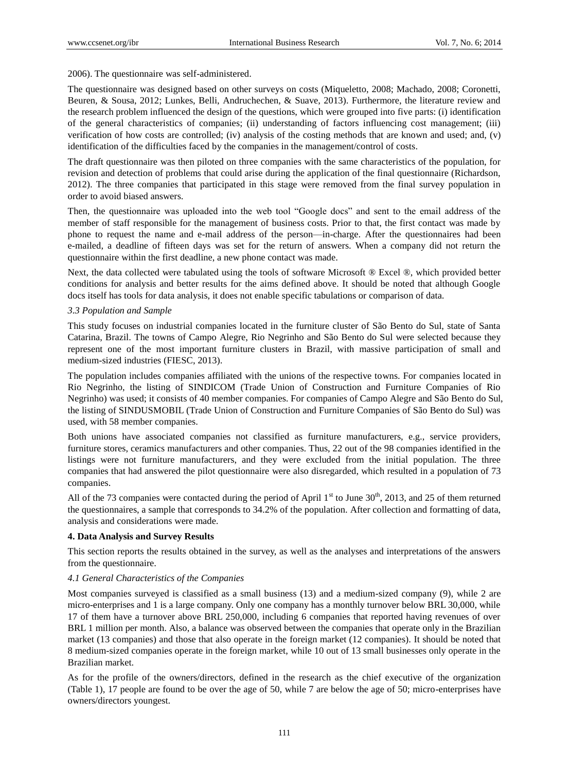2006). The questionnaire was self-administered.

The questionnaire was designed based on other surveys on costs (Miqueletto, 2008; Machado, 2008; Coronetti, Beuren, & Sousa, 2012; Lunkes, Belli, Andruchechen, & Suave, 2013). Furthermore, the literature review and the research problem influenced the design of the questions, which were grouped into five parts: (i) identification of the general characteristics of companies; (ii) understanding of factors influencing cost management; (iii) verification of how costs are controlled; (iv) analysis of the costing methods that are known and used; and, (v) identification of the difficulties faced by the companies in the management/control of costs.

The draft questionnaire was then piloted on three companies with the same characteristics of the population, for revision and detection of problems that could arise during the application of the final questionnaire (Richardson, 2012). The three companies that participated in this stage were removed from the final survey population in order to avoid biased answers.

Then, the questionnaire was uploaded into the web tool "Google docs" and sent to the email address of the member of staff responsible for the management of business costs. Prior to that, the first contact was made by phone to request the name and e-mail address of the person—in-charge. After the questionnaires had been e-mailed, a deadline of fifteen days was set for the return of answers. When a company did not return the questionnaire within the first deadline, a new phone contact was made.

Next, the data collected were tabulated using the tools of software Microsoft ® Excel ®, which provided better conditions for analysis and better results for the aims defined above. It should be noted that although Google docs itself has tools for data analysis, it does not enable specific tabulations or comparison of data.

# *3.3 Population and Sample*

This study focuses on industrial companies located in the furniture cluster of São Bento do Sul, state of Santa Catarina, Brazil. The towns of Campo Alegre, Rio Negrinho and São Bento do Sul were selected because they represent one of the most important furniture clusters in Brazil, with massive participation of small and medium-sized industries (FIESC, 2013).

The population includes companies affiliated with the unions of the respective towns. For companies located in Rio Negrinho, the listing of SINDICOM (Trade Union of Construction and Furniture Companies of Rio Negrinho) was used; it consists of 40 member companies. For companies of Campo Alegre and São Bento do Sul, the listing of SINDUSMOBIL (Trade Union of Construction and Furniture Companies of São Bento do Sul) was used, with 58 member companies.

Both unions have associated companies not classified as furniture manufacturers, e.g., service providers, furniture stores, ceramics manufacturers and other companies. Thus, 22 out of the 98 companies identified in the listings were not furniture manufacturers, and they were excluded from the initial population. The three companies that had answered the pilot questionnaire were also disregarded, which resulted in a population of 73 companies.

All of the 73 companies were contacted during the period of April  $1<sup>st</sup>$  to June 30<sup>th</sup>, 2013, and 25 of them returned the questionnaires, a sample that corresponds to 34.2% of the population. After collection and formatting of data, analysis and considerations were made.

# **4. Data Analysis and Survey Results**

This section reports the results obtained in the survey, as well as the analyses and interpretations of the answers from the questionnaire.

# *4.1 General Characteristics of the Companies*

Most companies surveyed is classified as a small business (13) and a medium-sized company (9), while 2 are micro-enterprises and 1 is a large company. Only one company has a monthly turnover below BRL 30,000, while 17 of them have a turnover above BRL 250,000, including 6 companies that reported having revenues of over BRL 1 million per month. Also, a balance was observed between the companies that operate only in the Brazilian market (13 companies) and those that also operate in the foreign market (12 companies). It should be noted that 8 medium-sized companies operate in the foreign market, while 10 out of 13 small businesses only operate in the Brazilian market.

As for the profile of the owners/directors, defined in the research as the chief executive of the organization (Table 1), 17 people are found to be over the age of 50, while 7 are below the age of 50; micro-enterprises have owners/directors youngest.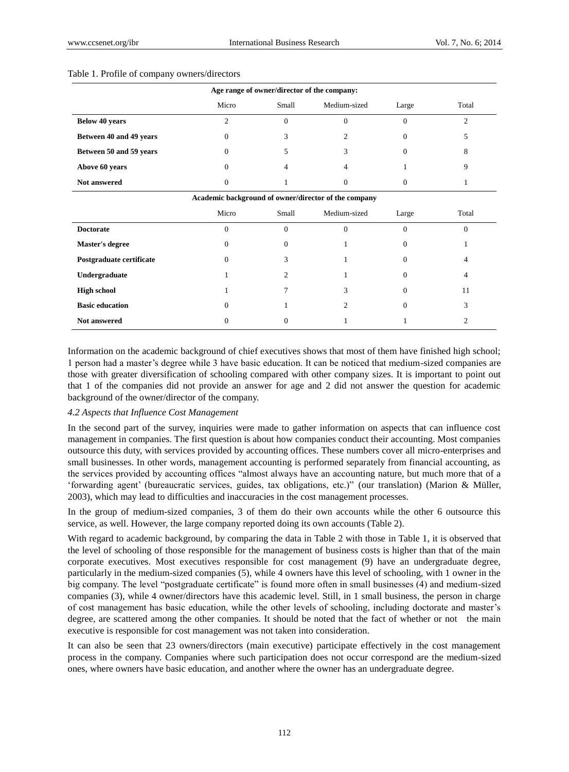|                         |       | Age range of owner/director of the company: |                |          |       |
|-------------------------|-------|---------------------------------------------|----------------|----------|-------|
|                         | Micro | Small                                       | Medium-sized   | Large    | Total |
| <b>Below 40 years</b>   |       | $\Omega$                                    | 0              |          |       |
| Between 40 and 49 years | 0     | 3                                           | $\mathfrak{D}$ | $\Omega$ |       |
| Between 50 and 59 years | 0     |                                             |                |          | 8     |
| Above 60 years          |       | 4                                           | 4              |          |       |
| <b>Not answered</b>     |       |                                             | O              |          |       |

#### Table 1. Profile of company owners/directors

| $1.000$ and $1.000$      |       |          |                                                      |          |          |
|--------------------------|-------|----------|------------------------------------------------------|----------|----------|
|                          |       |          | Academic background of owner/director of the company |          |          |
|                          | Micro | Small    | Medium-sized                                         | Large    | Total    |
| <b>Doctorate</b>         |       | $_{0}$   | O                                                    |          | $\theta$ |
| <b>Master's degree</b>   | 0     | $^{(1)}$ |                                                      | $\Omega$ |          |
| Postgraduate certificate | 0     | 3        |                                                      | $\Omega$ | 4        |
| Undergraduate            |       |          |                                                      | $\Omega$ | 4        |
| <b>High school</b>       |       |          | 3                                                    | $\Omega$ | 11       |
| <b>Basic education</b>   | 0     |          |                                                      | $\Omega$ | 3        |
| <b>Not answered</b>      |       | $\theta$ |                                                      |          |          |
|                          |       |          |                                                      |          |          |

Information on the academic background of chief executives shows that most of them have finished high school; 1 person had a master's degree while 3 have basic education. It can be noticed that medium-sized companies are those with greater diversification of schooling compared with other company sizes. It is important to point out that 1 of the companies did not provide an answer for age and 2 did not answer the question for academic background of the owner/director of the company.

## *4.2 Aspects that Influence Cost Management*

In the second part of the survey, inquiries were made to gather information on aspects that can influence cost management in companies. The first question is about how companies conduct their accounting. Most companies outsource this duty, with services provided by accounting offices. These numbers cover all micro-enterprises and small businesses. In other words, management accounting is performed separately from financial accounting, as the services provided by accounting offices "almost always have an accounting nature, but much more that of a ‗forwarding agent' (bureaucratic services, guides, tax obligations, etc.)‖ (our translation) (Marion & Müller, 2003), which may lead to difficulties and inaccuracies in the cost management processes.

In the group of medium-sized companies, 3 of them do their own accounts while the other 6 outsource this service, as well. However, the large company reported doing its own accounts (Table 2).

With regard to academic background, by comparing the data in Table 2 with those in Table 1, it is observed that the level of schooling of those responsible for the management of business costs is higher than that of the main corporate executives. Most executives responsible for cost management (9) have an undergraduate degree, particularly in the medium-sized companies (5), while 4 owners have this level of schooling, with 1 owner in the big company. The level "postgraduate certificate" is found more often in small businesses (4) and medium-sized companies (3), while 4 owner/directors have this academic level. Still, in 1 small business, the person in charge of cost management has basic education, while the other levels of schooling, including doctorate and master's degree, are scattered among the other companies. It should be noted that the fact of whether or not the main executive is responsible for cost management was not taken into consideration.

It can also be seen that 23 owners/directors (main executive) participate effectively in the cost management process in the company. Companies where such participation does not occur correspond are the medium-sized ones, where owners have basic education, and another where the owner has an undergraduate degree.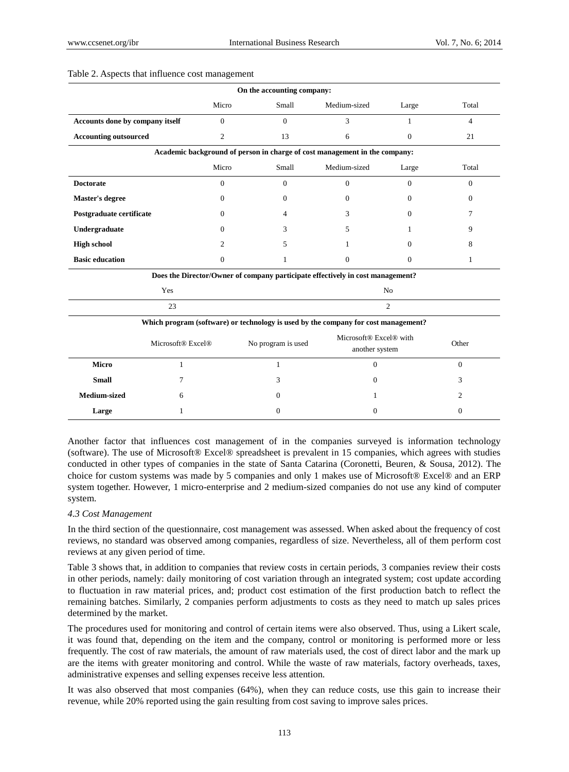| On the accounting company:      |                |                                                                                    |                                          |                |                |
|---------------------------------|----------------|------------------------------------------------------------------------------------|------------------------------------------|----------------|----------------|
|                                 | Micro          | Small                                                                              | Medium-sized                             | Large          | Total          |
| Accounts done by company itself | $\theta$       | $\Omega$                                                                           | 3                                        | $\mathbf{1}$   | 4              |
| <b>Accounting outsourced</b>    | $\overline{2}$ | 13                                                                                 | 6                                        | $\mathbf{0}$   | 21             |
|                                 |                | Academic background of person in charge of cost management in the company:         |                                          |                |                |
|                                 | Micro          | Small                                                                              | Medium-sized                             | Large          | Total          |
| <b>Doctorate</b>                | $\Omega$       | $\Omega$                                                                           | $\mathbf{0}$                             | $\Omega$       | $\Omega$       |
| <b>Master's degree</b>          | $\Omega$       | $\Omega$                                                                           | $\mathbf{0}$                             | $\Omega$       | $\Omega$       |
| Postgraduate certificate        | $\Omega$       | 4                                                                                  | 3                                        | $\Omega$       | 7              |
| Undergraduate                   | 0              | 3                                                                                  | 5                                        | 1              | 9              |
| <b>High school</b>              | 2              | 5                                                                                  | 1                                        | $\Omega$       | 8              |
| <b>Basic education</b>          | $\mathbf{0}$   | 1                                                                                  | $\mathbf{0}$                             | $\mathbf{0}$   | 1              |
|                                 |                | Does the Director/Owner of company participate effectively in cost management?     |                                          |                |                |
| Yes                             |                |                                                                                    |                                          | N <sub>0</sub> |                |
| 23                              |                |                                                                                    |                                          | $\overline{2}$ |                |
|                                 |                | Which program (software) or technology is used by the company for cost management? |                                          |                |                |
| Microsoft® Excel®               |                | No program is used                                                                 | Microsoft® Excel® with<br>another system |                | Other          |
| Micro<br>$\mathbf{1}$           |                | $\mathbf{1}$                                                                       | $\Omega$                                 |                | $\Omega$       |
| <b>Small</b><br>7               |                | 3                                                                                  | $\Omega$                                 |                | 3              |
| Medium-sized<br>6               |                | $\overline{0}$                                                                     |                                          |                | $\overline{c}$ |

#### Table 2. Aspects that influence cost management

Another factor that influences cost management of in the companies surveyed is information technology (software). The use of Microsoft® Excel® spreadsheet is prevalent in 15 companies, which agrees with studies conducted in other types of companies in the state of Santa Catarina (Coronetti, Beuren, & Sousa, 2012). The choice for custom systems was made by 5 companies and only 1 makes use of Microsoft® Excel® and an ERP system together. However, 1 micro-enterprise and 2 medium-sized companies do not use any kind of computer system.

**Large** 1 0 0 0

#### *4.3 Cost Management*

In the third section of the questionnaire, cost management was assessed. When asked about the frequency of cost reviews, no standard was observed among companies, regardless of size. Nevertheless, all of them perform cost reviews at any given period of time.

Table 3 shows that, in addition to companies that review costs in certain periods, 3 companies review their costs in other periods, namely: daily monitoring of cost variation through an integrated system; cost update according to fluctuation in raw material prices, and; product cost estimation of the first production batch to reflect the remaining batches. Similarly, 2 companies perform adjustments to costs as they need to match up sales prices determined by the market.

The procedures used for monitoring and control of certain items were also observed. Thus, using a Likert scale, it was found that, depending on the item and the company, control or monitoring is performed more or less frequently. The cost of raw materials, the amount of raw materials used, the cost of direct labor and the mark up are the items with greater monitoring and control. While the waste of raw materials, factory overheads, taxes, administrative expenses and selling expenses receive less attention.

It was also observed that most companies (64%), when they can reduce costs, use this gain to increase their revenue, while 20% reported using the gain resulting from cost saving to improve sales prices.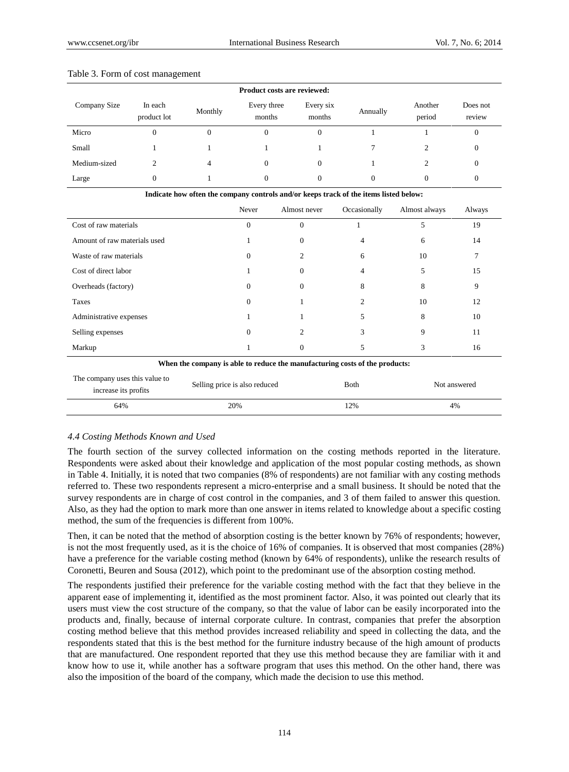|              |                        |         | <b>Product costs are reviewed:</b> |                     |          |                   |                    |
|--------------|------------------------|---------|------------------------------------|---------------------|----------|-------------------|--------------------|
| Company Size | In each<br>product lot | Monthly | Every three<br>months              | Every six<br>months | Annually | Another<br>period | Does not<br>review |
| Micro        | $\overline{0}$         | 0       | 0                                  |                     |          |                   | 0                  |
| Small        |                        |         |                                    |                     |          |                   | 0                  |
| Medium-sized |                        | 4       |                                    |                     |          |                   | $\theta$           |
| Large        | 0                      |         |                                    |                     |          |                   | 0                  |

#### Table 3. Form of cost management

| Indicate how often the company controls and/or keeps track of the items listed below: |          |                |              |               |        |  |
|---------------------------------------------------------------------------------------|----------|----------------|--------------|---------------|--------|--|
|                                                                                       | Never    | Almost never   | Occasionally | Almost always | Always |  |
| Cost of raw materials                                                                 | $\Omega$ | $\theta$       |              | 5             | 19     |  |
| Amount of raw materials used                                                          |          | $\Omega$       | 4            | 6             | 14     |  |
| Waste of raw materials                                                                | 0        | $\overline{c}$ | 6            | 10            | 7      |  |
| Cost of direct labor                                                                  |          | $\Omega$       | 4            | 5             | 15     |  |
| Overheads (factory)                                                                   | $\Omega$ | $\Omega$       | 8            | 8             | 9      |  |
| Taxes                                                                                 | $\Omega$ |                | 2            | 10            | 12     |  |
| Administrative expenses                                                               |          |                | 5            | 8             | 10     |  |
| Selling expenses                                                                      | $\Omega$ | $\mathfrak{D}$ | 3            | 9             | 11     |  |
| Markup                                                                                |          | $\overline{0}$ | 5            | 3             | 16     |  |
| When the company is able to reduce the manufacturing costs of the products:           |          |                |              |               |        |  |

| The company uses this value to<br>increase its profits | Selling price is also reduced | <b>B</b> oth | Not answered |
|--------------------------------------------------------|-------------------------------|--------------|--------------|
| 64%                                                    | 20%                           | 2%           | 4%           |

#### *4.4 Costing Methods Known and Used*

The fourth section of the survey collected information on the costing methods reported in the literature. Respondents were asked about their knowledge and application of the most popular costing methods, as shown in Table 4. Initially, it is noted that two companies (8% of respondents) are not familiar with any costing methods referred to. These two respondents represent a micro-enterprise and a small business. It should be noted that the survey respondents are in charge of cost control in the companies, and 3 of them failed to answer this question. Also, as they had the option to mark more than one answer in items related to knowledge about a specific costing method, the sum of the frequencies is different from 100%.

Then, it can be noted that the method of absorption costing is the better known by 76% of respondents; however, is not the most frequently used, as it is the choice of 16% of companies. It is observed that most companies (28%) have a preference for the variable costing method (known by 64% of respondents), unlike the research results of Coronetti, Beuren and Sousa (2012), which point to the predominant use of the absorption costing method.

The respondents justified their preference for the variable costing method with the fact that they believe in the apparent ease of implementing it, identified as the most prominent factor. Also, it was pointed out clearly that its users must view the cost structure of the company, so that the value of labor can be easily incorporated into the products and, finally, because of internal corporate culture. In contrast, companies that prefer the absorption costing method believe that this method provides increased reliability and speed in collecting the data, and the respondents stated that this is the best method for the furniture industry because of the high amount of products that are manufactured. One respondent reported that they use this method because they are familiar with it and know how to use it, while another has a software program that uses this method. On the other hand, there was also the imposition of the board of the company, which made the decision to use this method.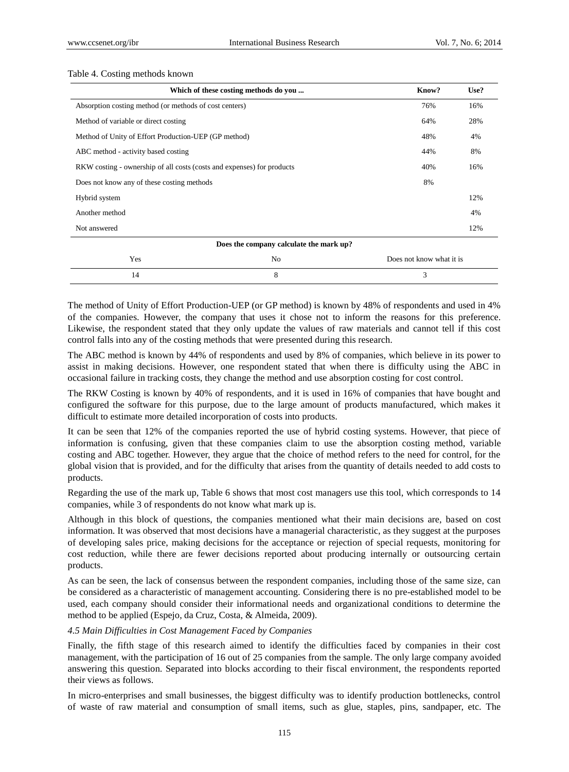## Table 4. Costing methods known

|                                                                        | Which of these costing methods do you   | Know?                    | Use? |
|------------------------------------------------------------------------|-----------------------------------------|--------------------------|------|
| Absorption costing method (or methods of cost centers)                 |                                         | 76%                      | 16%  |
| Method of variable or direct costing                                   |                                         | 64%                      | 28%  |
| Method of Unity of Effort Production-UEP (GP method)                   |                                         | 48%                      | 4%   |
| ABC method - activity based costing                                    |                                         | 44%                      | 8%   |
| RKW costing - ownership of all costs (costs and expenses) for products | 40%                                     | 16%                      |      |
| Does not know any of these costing methods                             |                                         | 8%                       |      |
| Hybrid system                                                          |                                         |                          | 12%  |
| Another method                                                         |                                         |                          | 4%   |
| Not answered                                                           |                                         |                          | 12%  |
|                                                                        | Does the company calculate the mark up? |                          |      |
| Yes<br>N <sub>0</sub>                                                  |                                         | Does not know what it is |      |
| 14                                                                     | 8                                       | 3                        |      |

The method of Unity of Effort Production-UEP (or GP method) is known by 48% of respondents and used in 4% of the companies. However, the company that uses it chose not to inform the reasons for this preference. Likewise, the respondent stated that they only update the values of raw materials and cannot tell if this cost control falls into any of the costing methods that were presented during this research.

The ABC method is known by 44% of respondents and used by 8% of companies, which believe in its power to assist in making decisions. However, one respondent stated that when there is difficulty using the ABC in occasional failure in tracking costs, they change the method and use absorption costing for cost control.

The RKW Costing is known by 40% of respondents, and it is used in 16% of companies that have bought and configured the software for this purpose, due to the large amount of products manufactured, which makes it difficult to estimate more detailed incorporation of costs into products.

It can be seen that 12% of the companies reported the use of hybrid costing systems. However, that piece of information is confusing, given that these companies claim to use the absorption costing method, variable costing and ABC together. However, they argue that the choice of method refers to the need for control, for the global vision that is provided, and for the difficulty that arises from the quantity of details needed to add costs to products.

Regarding the use of the mark up, Table 6 shows that most cost managers use this tool, which corresponds to 14 companies, while 3 of respondents do not know what mark up is.

Although in this block of questions, the companies mentioned what their main decisions are, based on cost information. It was observed that most decisions have a managerial characteristic, as they suggest at the purposes of developing sales price, making decisions for the acceptance or rejection of special requests, monitoring for cost reduction, while there are fewer decisions reported about producing internally or outsourcing certain products.

As can be seen, the lack of consensus between the respondent companies, including those of the same size, can be considered as a characteristic of management accounting. Considering there is no pre-established model to be used, each company should consider their informational needs and organizational conditions to determine the method to be applied (Espejo, da Cruz, Costa, & Almeida, 2009).

# *4.5 Main Difficulties in Cost Management Faced by Companies*

Finally, the fifth stage of this research aimed to identify the difficulties faced by companies in their cost management, with the participation of 16 out of 25 companies from the sample. The only large company avoided answering this question. Separated into blocks according to their fiscal environment, the respondents reported their views as follows.

In micro-enterprises and small businesses, the biggest difficulty was to identify production bottlenecks, control of waste of raw material and consumption of small items, such as glue, staples, pins, sandpaper, etc. The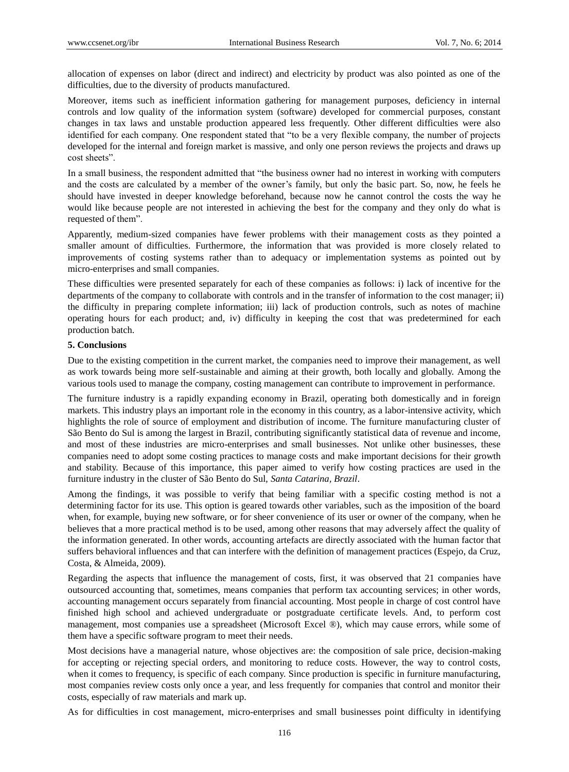allocation of expenses on labor (direct and indirect) and electricity by product was also pointed as one of the difficulties, due to the diversity of products manufactured.

Moreover, items such as inefficient information gathering for management purposes, deficiency in internal controls and low quality of the information system (software) developed for commercial purposes, constant changes in tax laws and unstable production appeared less frequently. Other different difficulties were also identified for each company. One respondent stated that "to be a very flexible company, the number of projects developed for the internal and foreign market is massive, and only one person reviews the projects and draws up cost sheets".

In a small business, the respondent admitted that "the business owner had no interest in working with computers and the costs are calculated by a member of the owner's family, but only the basic part. So, now, he feels he should have invested in deeper knowledge beforehand, because now he cannot control the costs the way he would like because people are not interested in achieving the best for the company and they only do what is requested of them".

Apparently, medium-sized companies have fewer problems with their management costs as they pointed a smaller amount of difficulties. Furthermore, the information that was provided is more closely related to improvements of costing systems rather than to adequacy or implementation systems as pointed out by micro-enterprises and small companies.

These difficulties were presented separately for each of these companies as follows: i) lack of incentive for the departments of the company to collaborate with controls and in the transfer of information to the cost manager; ii) the difficulty in preparing complete information; iii) lack of production controls, such as notes of machine operating hours for each product; and, iv) difficulty in keeping the cost that was predetermined for each production batch.

## **5. Conclusions**

Due to the existing competition in the current market, the companies need to improve their management, as well as work towards being more self-sustainable and aiming at their growth, both locally and globally. Among the various tools used to manage the company, costing management can contribute to improvement in performance.

The furniture industry is a rapidly expanding economy in Brazil, operating both domestically and in foreign markets. This industry plays an important role in the economy in this country, as a labor-intensive activity, which highlights the role of source of employment and distribution of income. The furniture manufacturing cluster of São Bento do Sul is among the largest in Brazil, contributing significantly statistical data of revenue and income, and most of these industries are micro-enterprises and small businesses. Not unlike other businesses, these companies need to adopt some costing practices to manage costs and make important decisions for their growth and stability. Because of this importance, this paper aimed to verify how costing practices are used in the furniture industry in the cluster of São Bento do Sul, *Santa Catarina, Brazil*.

Among the findings, it was possible to verify that being familiar with a specific costing method is not a determining factor for its use. This option is geared towards other variables, such as the imposition of the board when, for example, buying new software, or for sheer convenience of its user or owner of the company, when he believes that a more practical method is to be used, among other reasons that may adversely affect the quality of the information generated. In other words, accounting artefacts are directly associated with the human factor that suffers behavioral influences and that can interfere with the definition of management practices (Espejo, da Cruz, Costa, & Almeida, 2009).

Regarding the aspects that influence the management of costs, first, it was observed that 21 companies have outsourced accounting that, sometimes, means companies that perform tax accounting services; in other words, accounting management occurs separately from financial accounting. Most people in charge of cost control have finished high school and achieved undergraduate or postgraduate certificate levels. And, to perform cost management, most companies use a spreadsheet (Microsoft Excel ®), which may cause errors, while some of them have a specific software program to meet their needs.

Most decisions have a managerial nature, whose objectives are: the composition of sale price, decision-making for accepting or rejecting special orders, and monitoring to reduce costs. However, the way to control costs, when it comes to frequency, is specific of each company. Since production is specific in furniture manufacturing, most companies review costs only once a year, and less frequently for companies that control and monitor their costs, especially of raw materials and mark up.

As for difficulties in cost management, micro-enterprises and small businesses point difficulty in identifying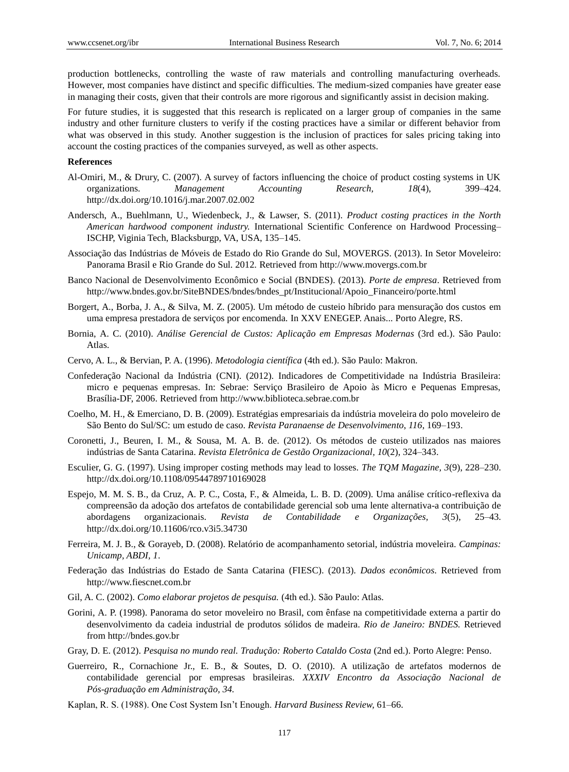production bottlenecks, controlling the waste of raw materials and controlling manufacturing overheads. However, most companies have distinct and specific difficulties. The medium-sized companies have greater ease in managing their costs, given that their controls are more rigorous and significantly assist in decision making.

For future studies, it is suggested that this research is replicated on a larger group of companies in the same industry and other furniture clusters to verify if the costing practices have a similar or different behavior from what was observed in this study. Another suggestion is the inclusion of practices for sales pricing taking into account the costing practices of the companies surveyed, as well as other aspects.

## **References**

- Al-Omiri, M., & Drury, C. (2007). A survey of factors influencing the choice of product costing systems in UK organizations. *Management Accounting Research, 18*(4), 399–424. http://dx.doi.org/10.1016/j.mar.2007.02.002
- Andersch, A., Buehlmann, U., Wiedenbeck, J., & Lawser, S. (2011). *Product costing practices in the North American hardwood component industry.* International Scientific Conference on Hardwood Processing– ISCHP, Viginia Tech, Blacksburgp, VA, USA, 135–145.
- Associação das Indústrias de Móveis de Estado do Rio Grande do Sul, MOVERGS. (2013). In Setor Moveleiro: Panorama Brasil e Rio Grande do Sul. 2012. Retrieved from http://www.movergs.com.br
- Banco Nacional de Desenvolvimento Econômico e Social (BNDES). (2013). *Porte de empresa*. Retrieved from http://www.bndes.gov.br/SiteBNDES/bndes/bndes\_pt/Institucional/Apoio\_Financeiro/porte.html
- Borgert, A., Borba, J. A., & Silva, M. Z. (2005). Um método de custeio híbrido para mensuração dos custos em uma empresa prestadora de serviços por encomenda. In XXV ENEGEP. Anais... Porto Alegre, RS.
- Bornia, A. C. (2010). *Análise Gerencial de Custos: Aplicação em Empresas Modernas* (3rd ed.). São Paulo: Atlas.
- Cervo, A. L., & Bervian, P. A. (1996). *Metodologia científica* (4th ed.). São Paulo: Makron.
- Confederação Nacional da Indústria (CNI). (2012). Indicadores de Competitividade na Indústria Brasileira: micro e pequenas empresas. In: Sebrae: Serviço Brasileiro de Apoio às Micro e Pequenas Empresas, Brasília-DF, 2006. Retrieved from http://www.biblioteca.sebrae.com.br
- Coelho, M. H., & Emerciano, D. B. (2009). Estratégias empresariais da indústria moveleira do polo moveleiro de São Bento do Sul/SC: um estudo de caso. *Revista Paranaense de Desenvolvimento*, *116*, 169–193.
- Coronetti, J., Beuren, I. M., & Sousa, M. A. B. de. (2012). Os métodos de custeio utilizados nas maiores indústrias de Santa Catarina. *Revista Eletrônica de Gestão Organizacional, 10*(2), 324–343.
- Esculier, G. G. (1997). Using improper costing methods may lead to losses. *The TQM Magazine, 3*(9), 228–230. http://dx.doi.org/10.1108/09544789710169028
- Espejo, M. M. S. B., da Cruz, A. P. C., Costa, F., & Almeida, L. B. D. (2009). Uma análise crítico-reflexiva da compreensão da adoção dos artefatos de contabilidade gerencial sob uma lente alternativa-a contribuição de abordagens organizacionais*. Revista de Contabilidade e Organizações, 3*(5), 25–43. http://dx.doi.org/10.11606/rco.v3i5.34730
- Ferreira, M. J. B., & Gorayeb, D. (2008). Relatório de acompanhamento setorial, indústria moveleira. *Campinas: Unicamp, ABDI, 1*.
- Federação das Indústrias do Estado de Santa Catarina (FIESC). (2013). *Dados econômicos*. Retrieved from http://www.fiescnet.com.br
- Gil, A. C. (2002). *Como elaborar projetos de pesquisa.* (4th ed.). São Paulo: Atlas.
- Gorini, A. P. (1998). Panorama do setor moveleiro no Brasil, com ênfase na competitividade externa a partir do desenvolvimento da cadeia industrial de produtos sólidos de madeira. *Rio de Janeiro: BNDES.* Retrieved from http://bndes.gov.br
- Gray, D. E. (2012). *Pesquisa no mundo real. Tradução: Roberto Cataldo Costa* (2nd ed.). Porto Alegre: Penso.
- Guerreiro, R., Cornachione Jr., E. B., & Soutes, D. O. (2010). A utilização de artefatos modernos de contabilidade gerencial por empresas brasileiras. *XXXIV Encontro da Associação Nacional de Pós-graduação em Administração, 34.*
- Kaplan, R. S. (1988). One Cost System Isn't Enough. *Harvard Business Review,* 61–66.